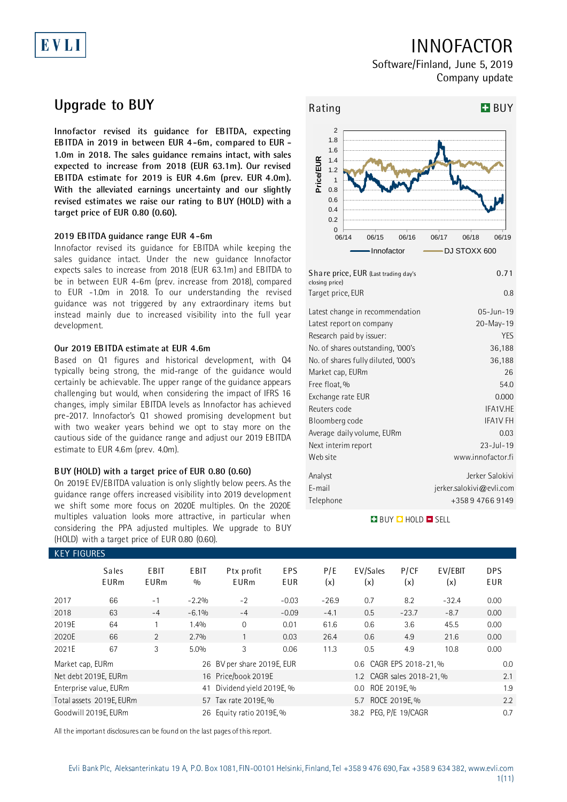# EVLI

## INNOFACTOR

Software/Finland, June 5, 2019 Company update

## **Upgrade to BUY**

**Innofactor revised its guidance for EBITDA, expecting EBITDA in 2019 in between EUR 4-6m, compared to EUR - 1.0m in 2018. The sales guidance remains intact, with sales expected to increase from 2018 (EUR 63.1m). Our revised EBITDA estimate for 2019 is EUR 4.6m (prev. EUR 4.0m). With the alleviated earnings uncertainty and our slightly revised estimates we raise our rating to BUY (HOLD) with a target price of EUR 0.80 (0.60).**

### **2019 EBITDA guidance range EUR 4-6m**

Innofactor revised its guidance for EBITDA while keeping the sales guidance intact. Under the new guidance Innofactor expects sales to increase from 2018 (EUR 63.1m) and EBITDA to be in between EUR 4-6m (prev. increase from 2018), compared to EUR -1.0m in 2018. To our understanding the revised guidance was not triggered by any extraordinary items but instead mainly due to increased visibility into the full year development.

## **Our 2019 EBITDA estimate at EUR 4.6m**

Based on Q1 figures and historical development, with Q4 typically being strong, the mid-range of the guidance would certainly be achievable. The upper range of the guidance appears challenging but would, when considering the impact of IFRS 16 changes, imply similar EBITDA levels as Innofactor has achieved pre-2017. Innofactor's Q1 showed promising development but with two weaker years behind we opt to stay more on the cautious side of the guidance range and adjust our 2019 EBITDA estimate to EUR 4.6m (prev. 4.0m).

### **BUY (HOLD) with a target price of EUR 0.80 (0.60)**

On 2019E EV/EBITDA valuation is only slightly below peers. As the guidance range offers increased visibility into 2019 development we shift some more focus on 2020E multiples. On the 2020E multiples valuation looks more attractive, in particular when considering the PPA adjusted multiples. We upgrade to BUY (HOLD) with a target price of EUR 0.80 (0.60).



**BUY Q HOLD O SELL** 

| <b>KEY FIGURES</b>           |                             |              |             |                            |                   |                   |                           |             |                |                   |  |
|------------------------------|-----------------------------|--------------|-------------|----------------------------|-------------------|-------------------|---------------------------|-------------|----------------|-------------------|--|
|                              | <b>Sales</b><br><b>EURm</b> | EBIT<br>EURm | EBIT<br>0/0 | Ptx profit<br><b>EURm</b>  | <b>EPS</b><br>EUR | P/E<br>(x)        | EV/Sales<br>(x)           | P/CF<br>(x) | EV/EBIT<br>(x) | <b>DPS</b><br>EUR |  |
| 2017                         | 66                          | $-1$         | $-2.2%$     | $-2$                       | $-0.03$           | $-26.9$           | 0.7                       | 8.2         | $-32.4$        | 0.00              |  |
| 2018                         | 63                          | $-4$         | $-6.1%$     | $-4$                       | $-0.09$           | $-4.1$            | 0.5                       | $-23.7$     | $-8.7$         | 0.00              |  |
| 2019E                        | 64                          |              | 1.4%        | $\mathbf 0$                | 0.01              | 61.6              | 0.6                       | 3.6         | 45.5           | 0.00              |  |
| 2020E                        | 66                          | 2            | 2.7%        |                            | 0.03              | 26.4              | 0.6                       | 4.9         | 21.6           | 0.00              |  |
| 2021E                        | 67                          | 3            | 5.0%        | 3                          | 0.06              | 11.3              | 0.5                       | 4.9         | 10.8           | 0.00              |  |
| Market cap, EURm             |                             |              |             | 26 BV per share 2019E, EUR |                   |                   | 0.6 CAGR EPS 2018-21, %   |             |                | 0.0               |  |
|                              | Net debt 2019E, EURm        |              |             | 16 Price/book 2019E        |                   |                   | 1.2 CAGR sales 2018-21, % |             |                |                   |  |
| Enterprise value, EURm<br>41 |                             |              |             | Dividend yield 2019E, %    |                   |                   | ROE 2019E, %<br>$0.0\,$   |             |                |                   |  |
| Total assets 2019E, EURm     |                             |              |             | 57 Tax rate 2019E, %       |                   | 5.7 ROCE 2019E. % |                           |             |                | 2.2               |  |
| Goodwill 2019E, EURm         |                             |              |             | 26 Equity ratio 2019E, %   |                   |                   | 38.2 PEG, P/E 19/CAGR     |             |                | 0.7               |  |

All the important disclosures can be found on the last pages of this report.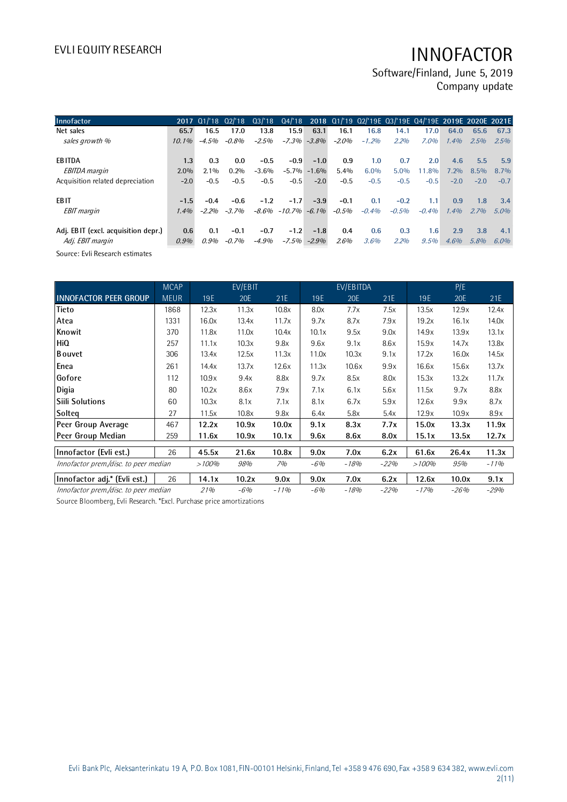Software/Finland, June 5, 2019 Company update

| Innofactor                          |          |         |         |         |                   |          |         |         | 2017 01/18 02/18 03/18 04/18 2018 01/19 02/19E 03/19E 04/19E 2019E 2020E 2021E |         |         |         |         |
|-------------------------------------|----------|---------|---------|---------|-------------------|----------|---------|---------|--------------------------------------------------------------------------------|---------|---------|---------|---------|
| Net sales                           | 65.7     | 16.5    | 17.0    | 13.8    | 15.9              | 63.1     | 16.1    | 16.8    | 14.1                                                                           | 17.0    | 64.0    | 65.6    | 67.3    |
| sales growth %                      | $10.1\%$ | $-4.5%$ | $-0.8%$ | $-2.5%$ | $-7.3%$           | $-3.8%$  | $-2.0%$ | $-1.2%$ | 2.2%                                                                           | 7.0%    | 1.4%    | 2.5%    | 2.5%    |
| <b>EBITDA</b>                       | 1.3      | 0.3     | 0.0     | $-0.5$  | $-0.9$            | $-1.0$   | 0.9     | 1.0     | 0.7                                                                            | 2.0     | 4.6     | 5.5     | 5.9     |
| <b>EBITDA</b> margin                | $2.0\%$  | $2.1\%$ | 0.2%    | $-3.6%$ | $-5.7\%$          | $-1.6\%$ | 5.4%    | $6.0\%$ | 5.0%                                                                           | 11.8%   | $7.2\%$ | $8.5\%$ | 8.7%    |
| Acquisition related depreciation    | $-2.0$   | $-0.5$  | $-0.5$  | $-0.5$  | $-0.5$            | $-2.0$   | $-0.5$  | $-0.5$  | $-0.5$                                                                         | $-0.5$  | $-2.0$  | $-2.0$  | $-0.7$  |
| <b>EBIT</b>                         | $-1.5$   | $-0.4$  | $-0.6$  | $-1.2$  | $-1.7$            | $-3.9$   | $-0.1$  | 0.1     | $-0.2$                                                                         | 1.1     | 0.9     | 1.8     | 3.4     |
| <b>EBIT</b> margin                  | 1.4%     | $-2.2%$ | $-3.7%$ |         | $-8.6\% - 10.7\%$ | $-6.1\%$ | $-0.5%$ | $-0.4%$ | $-0.5%$                                                                        | $-0.4%$ | 1.4%    | 2.7%    | $5.0\%$ |
| Adj. EBIT (excl. acquisition depr.) | 0.6      | 0.1     | $-0.1$  | $-0.7$  | $-1.2$            | $-1.8$   | 0.4     | 0.6     | 0.3                                                                            | 1.6     | 2.9     | 3.8     | 4.1     |
| Adj. EBIT margin                    | 0.9%     | 0.9%    | $-0.7%$ | $-4.9%$ | $-7.5\%$          | $-2.9\%$ | 2.6%    | 3.6%    | 2.2%                                                                           | 9.5%    | 4.6%    | 5.8%    | $6.0\%$ |

Source: Evli Research estimates

|                                       | <b>MCAP</b> |       | EV/EBIT |        |       | EV/EBITDA |        |        | P/E        |        |
|---------------------------------------|-------------|-------|---------|--------|-------|-----------|--------|--------|------------|--------|
| <b>INNOFACTOR PEER GROUP</b>          | <b>MEUR</b> | 19E   | 20E     | 21E    | 19E   | 20E       | 21E    | 19E    | <b>20E</b> | 21E    |
| <b>Tieto</b>                          | 1868        | 12.3x | 11.3x   | 10.8x  | 8.0x  | 7.7x      | 7.5x   | 13.5x  | 12.9x      | 12.4x  |
| Atea                                  | 1331        | 16.0x | 13.4x   | 11.7x  | 9.7x  | 8.7x      | 7.9x   | 19.2x  | 16.1x      | 14.0x  |
| Knowit                                | 370         | 11.8x | 11.0x   | 10.4x  | 10.1x | 9.5x      | 9.0x   | 14.9x  | 13.9x      | 13.1x  |
| HiQ                                   | 257         | 11.1x | 10.3x   | 9.8x   | 9.6x  | 9.1x      | 8.6x   | 15.9x  | 14.7x      | 13.8x  |
| <b>B</b> ouvet                        | 306         | 13.4x | 12.5x   | 11.3x  | 11.0x | 10.3x     | 9.1x   | 17.2x  | 16.0x      | 14.5x  |
| Enea                                  | 261         | 14.4x | 13.7x   | 12.6x  | 11.3x | 10.6x     | 9.9x   | 16.6x  | 15.6x      | 13.7x  |
| Gofore                                | 112         | 10.9x | 9.4x    | 8.8x   | 9.7x  | 8.5x      | 8.0x   | 15.3x  | 13.2x      | 11.7x  |
| Digia                                 | 80          | 10.2x | 8.6x    | 7.9x   | 7.1x  | 6.1x      | 5.6x   | 11.5x  | 9.7x       | 8.8x   |
| <b>Siili Solutions</b>                | 60          | 10.3x | 8.1x    | 7.1x   | 8.1x  | 6.7x      | 5.9x   | 12.6x  | 9.9x       | 8.7x   |
| Solteg                                | 27          | 11.5x | 10.8x   | 9.8x   | 6.4x  | 5.8x      | 5.4x   | 12.9x  | 10.9x      | 8.9x   |
| Peer Group Average                    | 467         | 12.2x | 10.9x   | 10.0x  | 9.1x  | 8.3x      | 7.7x   | 15.0x  | 13.3x      | 11.9x  |
| Peer Group Median                     | 259         | 11.6x | 10.9x   | 10.1x  | 9.6x  | 8.6x      | 8.0x   | 15.1x  | 13.5x      | 12.7x  |
| Innofactor (Evli est.)                | 26          | 45.5x | 21.6x   | 10.8x  | 9.0x  | 7.0x      | 6.2x   | 61.6x  | 26.4x      | 11.3x  |
| Innofactor prem./disc. to peer median |             | >100% | 98%     | 7%     | $-6%$ | $-18%$    | $-22%$ | >100%  | 95%        | $-11%$ |
| Innofactor adj.* (Evli est.)          | 26          | 14.1x | 10.2x   | 9.0x   | 9.0x  | 7.0x      | 6.2x   | 12.6x  | 10.0x      | 9.1x   |
| Innofactor prem./disc. to peer median |             | 21%   | $-6%$   | $-11%$ | $-6%$ | $-18%$    | $-22%$ | $-17%$ | $-26%$     | $-29%$ |

Source Bloomberg, Evli Research. \*Excl. Purchase price amortizations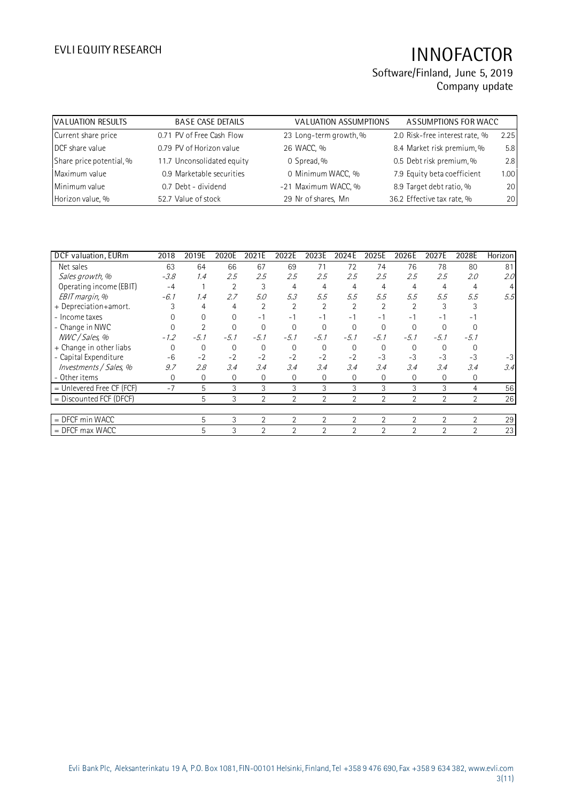| <b>VALUATION RESULTS</b> | <b>BASE CASE DETAILS</b>   | <b>VALUATION ASSUMPTIONS</b> | ASSUMPTIONS FOR WACC           |      |
|--------------------------|----------------------------|------------------------------|--------------------------------|------|
| Current share price      | 0.71 PV of Free Cash Flow  | 23 Long-term growth, %       | 2.0 Risk-free interest rate, % | 2.25 |
| DCF share value          | 0.79 PV of Horizon value   | 26 WACC, %                   | 8.4 Market risk premium, %     | 5.8  |
| Share price potential, % | 11.7 Unconsolidated equity | 0 Spread, %                  | 0.5 Debt risk premium, %       | 2.8  |
| Maximum value            | 0.9 Marketable securities  | 0 Minimum WACC, %            | 7.9 Equity beta coefficient    | 1.00 |
| Minimum value            | 0.7 Debt - dividend        | -21 Maximum WACC, %          | 8.9 Target debt ratio, %       | 20   |
| Horizon value, %         | 52.7 Value of stock        | 29 Nr of shares, Mn          | 36.2 Effective tax rate, %     | 20   |
|                          |                            |                              |                                |      |

| DCF valuation, EURm         | 2018     | 2019E  | 2020E  | 2021E          | 2022E          | 2023E          | 2024E          | 2025E          | 2026E          | 2027E          | 2028E          | Horizon |
|-----------------------------|----------|--------|--------|----------------|----------------|----------------|----------------|----------------|----------------|----------------|----------------|---------|
| Net sales                   | 63       | 64     | 66     | 67             | 69             | 71             | 72             | 74             | 76             | 78             | 80             | 81      |
| Sales growth, %             | $-3.8$   | 1.4    | 2.5    | 2.5            | 2.5            | 2.5            | 2.5            | 2.5            | 2.5            | 2.5            | 2.0            | 2.0     |
| Operating income (EBIT)     | $-4$     |        | 2      | 3              | 4              | 4              | 4              | 4              | 4              | 4              | 4              | 4       |
| EBIT margin, %              | $-6.1$   | 1.4    | 2.7    | 5.0            | 5.3            | 5.5            | 5.5            | 5.5            | 5.5            | 5.5            | 5.5            | 5.5     |
| + Depreciation+amort.       |          | 4      | 4      | 2              | $\overline{2}$ | $\overline{2}$ | $\overline{2}$ | $\overline{2}$ | $\overline{2}$ |                |                |         |
| - Income taxes              |          |        | 0      | $-1$           | $-1$           | $-1$           | $-1$           | $-1$           | $-1$           | -1             |                |         |
| - Change in NWC             |          |        |        | 0              | $\Omega$       |                | $\Omega$       | $\Omega$       |                |                |                |         |
| NWC / Sales, %              | $-1.2$   | $-5.1$ | $-5.1$ | $-5.1$         | $-5.1$         | $-5.1$         | $-5.1$         | $-5.1$         | $-5.1$         | $-5.1$         | $-5.1$         |         |
| + Change in other liabs     | $\Omega$ | 0      | 0      | 0              | $\Omega$       | $\mathbf 0$    | $\mathbf 0$    | 0              | 0              | $\Omega$       |                |         |
| - Capital Expenditure       | $-6$     | $-2$   | $-2$   | $-2$           | $-2$           | $-2$           | $-2$           | $-3$           | $-3$           | $-3$           | $-3$           | $-3$    |
| Investments / Sales, %      | 9.7      | 2.8    | 3.4    | 3.4            | 3.4            | 3.4            | 3.4            | 3.4            | 3.4            | 3.4            | 3.4            | 3.4     |
| - Other items               | 0        | 0      | 0      | 0              | 0              | $\mathbf 0$    | $\mathbf{0}$   | 0              | 0              | 0              | 0              |         |
| $=$ Unlevered Free CF (FCF) | $-7$     | 5      | 3      | 3              | 3              | 3              | 3              | 3              | 3              | 3              | 4              | 56      |
| = Discounted FCF (DFCF)     |          | 5      | 3      | $\overline{2}$ | 2              | $\overline{2}$ | 2              | $\overline{2}$ | $\overline{2}$ | $\overline{2}$ | $\overline{2}$ | 26      |
|                             |          |        |        |                |                |                |                |                |                |                |                |         |
| $=$ DFCF min WACC           |          | 5      | 3      | $\overline{2}$ | $\overline{2}$ | $\overline{2}$ | $\overline{2}$ | $\overline{2}$ | $\overline{2}$ | $\overline{2}$ | $\overline{2}$ | 29      |
| $=$ DFCF max WACC           |          | 5      | 3      | $\overline{2}$ | $\mathfrak{D}$ | 2              | $\overline{2}$ | $\overline{2}$ | $\overline{2}$ | $\overline{2}$ | $\overline{2}$ | 23      |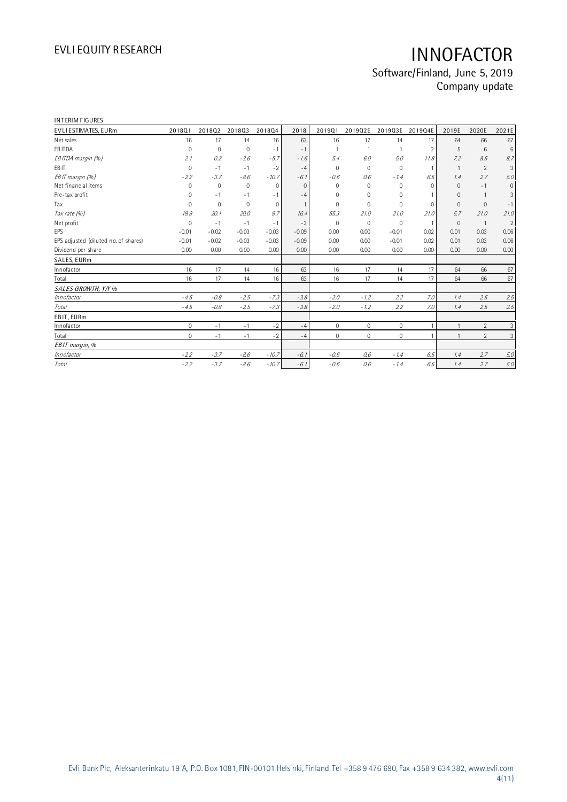| <b>INTERIM FIGURES</b>               |              |             |             |              |          |                     |                     |                     |                |                |                |                |
|--------------------------------------|--------------|-------------|-------------|--------------|----------|---------------------|---------------------|---------------------|----------------|----------------|----------------|----------------|
| EVLI ESTIMATES, EURm                 | 201801       | 201802      | 201803      | 201804       | 2018     | 201901              | 2019Q2E             | 2019Q3E             | 2019Q4E        | 2019E          | 2020E          | 2021E          |
| Net sales                            | 16           | 17          | 14          | 16           | 63       | 16                  | 17                  | 14                  | 17             | 64             | 66             | 67             |
| EB ITDA                              | $\mathbf 0$  | $\mathbf 0$ | $\mathbf 0$ | $-1$         | $-1$     |                     | 1                   | $\mathbf{1}$        | $\overline{2}$ | 5              | 6              | 6              |
| EB ITDA margin (%)                   | 2.1          | 0.2         | $-3.6$      | $-5.7$       | $-1.6$   | 5.4                 | 6.0                 | 5.0                 | 11.8           | 7.2            | 8.5            | 8.7            |
| EB IT                                | $\mathbf 0$  | $-1$        | $-1$        | $-2$         | $-4$     | $\Omega$            | $\mathbf 0$         | $\mathbf 0$         | $\mathbf{1}$   | $\overline{1}$ | $\overline{2}$ | 3              |
| EBIT margin (%)                      | $-2.2$       | $-3.7$      | $-8.6$      | $-10.7$      | $-6.1$   | $-0.6$              | 0.6                 | $-1.4$              | 6.5            | 1.4            | 2.7            | 5.0            |
| Net financial items                  | $\mathbf 0$  | $\mathbf 0$ | $\Omega$    | $\mathbf 0$  | $\Omega$ | $\Omega$            | $\Omega$            | $\mathbf 0$         | $\Omega$       | $\Omega$       | $-1$           | $\mathbf{0}$   |
| Pre-tax profit                       | $\mathbf 0$  | $-1$        | $-1$        | $-1$         | $-4$     | 0                   | $\mathbf{0}$        | $\mathbf 0$         |                | $\mathbf{0}$   | $\overline{1}$ | 3              |
| Tax                                  | $\mathbf 0$  | $\mathbf 0$ | $\mathbf 0$ | $\mathbf{0}$ | -1       | 0                   | $\mathbf 0$         | $\mathbf 0$         | $\mathbf 0$    | $\Omega$       | $\mathbf{0}$   | $-1$           |
| Tax rate (%)                         | 19.9         | 20.1        | 20.0        | 9.7          | 16.4     | 55.3                | 21.0                | 21.0                | 21.0           | 5.7            | 21.0           | 21.0           |
| Net profit                           | $\mathbf{0}$ | $-1$        | $-1$        | $-1$         | $-3$     | $\mathbf 0$         | $\mathbf{0}$        | $\mathbf 0$         | $\mathbf{1}$   | $\mathbf{0}$   | $\overline{1}$ | $\overline{2}$ |
| <b>EPS</b>                           | $-0.01$      | $-0.02$     | $-0.03$     | $-0.03$      | $-0.09$  | 0.00                | 0.00                | $-0.01$             | 0.02           | 0.01           | 0.03           | 0.06           |
| EPS adjusted (diluted no. of shares) | $-0.01$      | $-0.02$     | $-0.03$     | $-0.03$      | $-0.09$  | 0.00                | 0.00                | $-0.01$             | 0.02           | 0.01           | 0.03           | 0.06           |
| Dividend per share                   | 0.00         | 0.00        | 0.00        | 0.00         | 0.00     | 0.00                | 0.00                | 0.00                | 0.00           | 0.00           | 0.00           | 0.00           |
| SALES, EURm                          |              |             |             |              |          |                     |                     |                     |                |                |                |                |
| Innofactor                           | 16           | 17          | 14          | 16           | 63       | 16                  | 17                  | 14                  | 17             | 64             | 66             | 67             |
| Total                                | 16           | 17          | 14          | 16           | 63       | 16                  | 17                  | 14                  | 17             | 64             | 66             | 67             |
| SALES GROWTH, Y/Y %                  |              |             |             |              |          |                     |                     |                     |                |                |                |                |
| Innofactor                           | $-4.5$       | $-0.8$      | $-2.5$      | $-7.3$       | $-3.8$   | $-2.0$              | $-1.2$              | 2.2                 | 7.0            | 1.4            | 2.5            | 2.5            |
| Total                                | $-4.5$       | $-0.8$      | $-2.5$      | $-7.3$       | $-3.8$   | $-2.0$              | $-1.2$              | 2.2                 | 7.0            | 1.4            | 2.5            | 2.5            |
| EBIT, EURm                           |              |             |             |              |          |                     |                     |                     |                |                |                |                |
| Innofactor                           | $\mathbf{0}$ | $-1$        | $-1$        | $-2$         | $-4$     | $\mathbf 0$         | $\mathbf 0$         | $\mathbf 0$         |                | $\mathbf{1}$   | $\overline{2}$ | $\mathfrak{Z}$ |
| Total                                | $\mathbf 0$  | $-1$        | $-1$        | $-2$         | $-4$     | $\mathsf{O}\xspace$ | $\mathsf{O}\xspace$ | $\mathsf{O}\xspace$ |                |                | $\overline{2}$ | $\mathfrak{Z}$ |
| EBIT margin, %                       |              |             |             |              |          |                     |                     |                     |                |                |                |                |
| Innofactor                           | $-2.2$       | $-3.7$      | $-8.6$      | $-10.7$      | $-6.1$   | $-0.6$              | 0.6                 | $-1.4$              | 6.5            | 1.4            | 2.7            | 5.0            |
| <b>Total</b>                         | $-2.2$       | $-3.7$      | $-8.6$      | $-10.7$      | $-6.1$   | $-0.6$              | 0.6                 | $-1.4$              | 6.5            | 1.4            | 2.7            | 5.0            |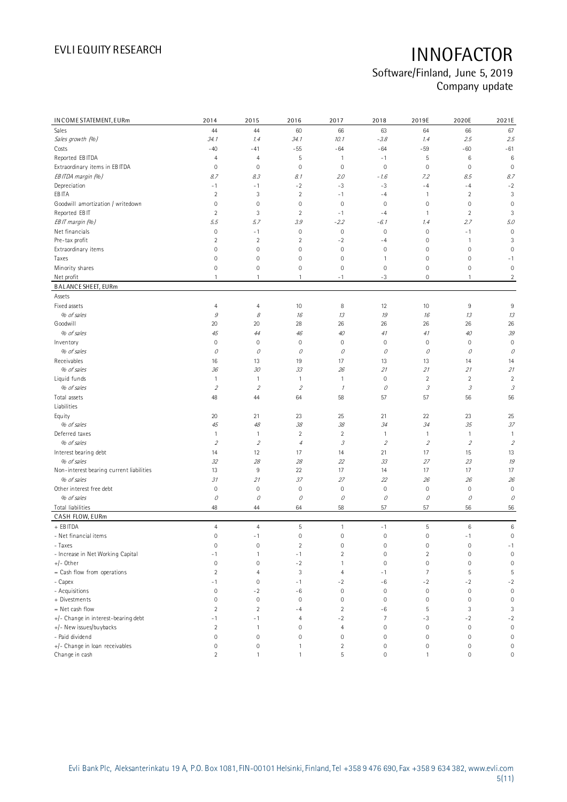| IN COME STATEMENT, EURm                  | 2014           | 2015                        | 2016                | 2017                | 2018           | 2019E                      | 2020E                      | 2021E                    |
|------------------------------------------|----------------|-----------------------------|---------------------|---------------------|----------------|----------------------------|----------------------------|--------------------------|
| Sales                                    | 44             | 44                          | 60                  | 66                  | 63             | 64                         | 66                         | 67                       |
| Sales growth (%)                         | 34.1           | 1.4                         | 34.1                | 10.1                | $-3.8$         | 1.4                        | 2.5                        | 2.5                      |
| Costs                                    | $-40$          | $-41$                       | $-55$               | $-64$               | $-64$          | $-59$                      | $-60$                      | $-61$                    |
| Reported EB ITDA                         | $\overline{4}$ | $\overline{4}$              | 5                   | $\mathbf{1}$        | $-1$           | 5                          | 6                          | 6                        |
| Extraordinary items in EB ITDA           | $\mathbf 0$    | $\mathbf 0$                 | $\mathbf 0$         | $\mathbf 0$         | $\mathbf 0$    | $\mathbf 0$                | $\mathbf 0$                | $\mathbf 0$              |
| EB ITDA margin (%)                       | 8.7            | 8.3                         | 8.1                 | 2.0                 | $-1.6$         | 7.2                        | 8.5                        | 8.7                      |
| Depreciation                             | $-1$           | $-1$                        | $-2$                | $-3$                | $-3$           | $-4$                       | $-4$                       | $-2$                     |
| EB ITA                                   | $\overline{2}$ | 3                           | $\overline{2}$      | $-1$                | $-4$           | $\mathbf{1}$               | $\overline{2}$             | 3                        |
| Goodwill amortization / writedown        | $\mathbf 0$    | $\mathbf 0$                 | 0                   | $\mathbf 0$         | $\mathbf 0$    | $\mathsf 0$                | $\mathsf 0$                | 0                        |
| Reported EBIT                            | $\sqrt{2}$     | 3                           | $\overline{2}$      | $-1$                | $-4$           | 1                          | $\overline{c}$             | 3                        |
| EBIT margin (%)                          | 5.5            | 5.7                         | 3.9                 | $-2.2$              | $-6.1$         | 1.4                        | 2.7                        | 5.0                      |
| Net financials                           | $\mathbf 0$    | $-1$                        | $\mathsf{O}\xspace$ | $\mathbf 0$         | $\mathbf 0$    | $\mathbf 0$                | $-1$                       | $\mathbf 0$              |
| Pre-tax profit                           | $\sqrt{2}$     | $\overline{2}$              | $\overline{2}$      | $-2$                | $-4$           | $\mathsf 0$                | $\mathbf{1}$               | 3                        |
| Extraordinary items                      | $\mathbf 0$    | $\mathbf 0$                 | 0                   | $\mathbf 0$         | $\mathbf 0$    | $\mathsf 0$                | 0                          | 0                        |
| Taxes                                    | $\mathbf 0$    | $\mathbf 0$                 | 0                   | 0                   | 1              | $\mathsf 0$                | $\mathbf 0$                | $-1$                     |
| Minority shares                          | $\mathbf 0$    | $\mathbf 0$                 | 0                   | 0                   | $\mathbf 0$    | 0                          | 0                          | $\mathbf 0$              |
| Net profit                               | $\mathbf{1}$   | $\mathbf{1}$                | $\mathbf{1}$        | $-1$                | $-3$           | $\mathsf 0$                | $\mathbf{1}$               | $\overline{c}$           |
|                                          |                |                             |                     |                     |                |                            |                            |                          |
| <b>BALANCE SHEET, EURm</b><br>Assets     |                |                             |                     |                     |                |                            |                            |                          |
| Fixed assets                             | $\overline{4}$ | 4                           | 10                  | 8                   | 12             | 10                         | $\,9$                      | $\,9$                    |
| % of sales                               | $\mathcal G$   | 8                           | 16                  | 13                  | 19             | 16                         | 13                         | 13                       |
| Goodwill                                 | 20             | 20                          | 28                  | 26                  | 26             | 26                         | 26                         | 26                       |
| % of sales                               | 45             | 44                          | 46                  | 40                  | 41             | 41                         | 40                         | 39                       |
|                                          |                |                             |                     |                     |                |                            |                            |                          |
| Inventory<br>% of sales                  | $\mathbf 0$    | $\mathbf 0$                 | 0                   | 0                   | $\mathbf 0$    | 0                          | $\mathbf 0$                | $\mathbf 0$              |
|                                          | $\mathcal O$   | 0                           | 0                   | 0                   | 0              | $\mathcal O$               | 0                          | 0                        |
| Receivables<br>% of sales                | 16<br>36       | 13<br>30                    | 19<br>33            | 17                  | 13<br>21       | 13<br>21                   | 14<br>21                   | 14<br>21                 |
|                                          |                |                             |                     | 26                  |                |                            |                            |                          |
| Liquid funds                             | $\mathbf{1}$   | $\overline{1}$              | 1                   | $\mathbf{1}$        | $\mathbf 0$    | $\sqrt{2}$                 | $\overline{2}$             | $\overline{2}$           |
| % of sales                               | $\overline{2}$ | $\mathcal{L}_{\mathcal{L}}$ | $\sqrt{2}$          | $\mathcal I$        | 0              | $\ensuremath{\mathcal{S}}$ | $\ensuremath{\mathcal{S}}$ | 3                        |
| Total assets                             | 48             | 44                          | 64                  | 58                  | 57             | 57                         | 56                         | 56                       |
| Liabilities                              |                |                             |                     |                     |                |                            |                            |                          |
| Equity                                   | 20             | 21                          | 23                  | 25                  | 21             | 22                         | 23                         | 25                       |
| % of sales                               | 45             | $48\,$                      | 38                  | 38                  | 34             | 34                         | 35                         | 37                       |
| Deferred taxes                           | $\mathbf{1}$   | $\overline{1}$              | $\overline{c}$      | $\overline{2}$      | $\mathbf{1}$   | $\mathbf{1}$               | $\mathbf{1}$               | 1                        |
| % of sales                               | $\overline{2}$ | $\mathcal{L}_{\mathcal{L}}$ | $\overline{4}$      | $\mathcal{I}% _{G}$ | $\sqrt{2}$     | $\sqrt{2}$                 | $\overline{2}$             | $\overline{\mathcal{L}}$ |
| Interest bearing debt                    | 14             | 12                          | 17                  | 14                  | 21             | 17                         | 15                         | 13                       |
| % of sales                               | 32             | 28                          | 28                  | 22                  | 33             | 27                         | 23                         | 19                       |
| Non-interest bearing current liabilities | 13             | $\overline{9}$              | 22                  | 17                  | 14             | 17                         | 17                         | 17                       |
| % of sales                               | 31             | 21                          | 37                  | 27                  | 22             | 26                         | 26                         | 26                       |
| Other interest free debt                 | $\mathbf 0$    | $\mathbf 0$                 | 0                   | 0                   | $\mathbf 0$    | $\mathbf 0$                | $\mathbf 0$                | $\mathbb O$              |
| % of sales                               | $\mathcal O$   | 0                           | $\mathcal O$        | 0                   | 0              | $\mathcal O$               | $\mathcal O$               | 0                        |
| Total liabilities                        | 48             | 44                          | 64                  | 58                  | 57             | 57                         | 56                         | 56                       |
| CASH FLOW, EURm                          |                |                             |                     |                     |                |                            |                            |                          |
| + EB ITDA                                | $\overline{4}$ | $\overline{4}$              | 5                   | $\mathbf{1}$        | $-1$           | 5                          | 6                          | 6                        |
| - Net financial items                    | $\mathbf 0$    | $-1$                        | $\mathbf 0$         | $\mathbf 0$         | $\mathbf 0$    | $\mathbf 0$                | $-1$                       | $\mathbf 0$              |
| - Taxes                                  | $\,0\,$        | $\mathbb O$                 | $\overline{2}$      | 0                   | $\mathbf 0$    | 0                          | 0                          | $-1$                     |
| - Increase in Net Working Capital        | $-1$           | $\mathbf{1}$                | $-1$                | $\overline{2}$      | $\mathbf 0$    | $\sqrt{2}$                 | $\,0\,$                    | $\mathbf 0$              |
| $+/-$ Other                              | $\mathbf 0$    | $\mathbf 0$                 | $-2$                | $\mathbf{1}$        | $\mathbf 0$    | $\mathbf 0$                | 0                          | $\mathbf 0$              |
| = Cash flow from operations              | $\sqrt{2}$     | $\overline{4}$              | 3                   | $\overline{4}$      | $-1$           | $\overline{7}$             | 5                          | 5                        |
| - Capex                                  | $-1$           | $\mathbb O$                 | $-1$                | $-2$                | $-6$           | $-2$                       | $-2$                       | $-2$                     |
| - Acquisitions                           | $\mathbf 0$    | $-2$                        | $-6$                | $\mathbf 0$         | $\mathbf 0$    | $\mathbf 0$                | $\,0\,$                    | $\mathbf 0$              |
| + Divestments                            | $\mathbf 0$    | $\mathbb O$                 | $\mathbf 0$         | $\mathsf{O}\xspace$ | $\mathbf 0$    | $\mathbf 0$                | $\,0\,$                    | $\mathbf 0$              |
| = Net cash flow                          | $\overline{c}$ | $\overline{2}$              | $-4$                | $\overline{c}$      | $-6$           | 5                          | 3                          | 3                        |
| +/- Change in interest-bearing debt      | - 1            | $-1$                        | $\overline{4}$      | $-2$                | $\overline{7}$ | $-3$                       | $-2$                       | $-2$                     |
| +/- New issues/buybacks                  | $\sqrt{2}$     | $\overline{1}$              | $\mathbf 0$         | $\overline{4}$      | $\mathbf 0$    | $\mathbf 0$                | $\,0\,$                    | $\mathbb O$              |
| - Paid dividend                          | $\mathbf 0$    | $\mathbb O$                 | $\mathbf 0$         | $\mathbf 0$         | $\mathbf 0$    | $\mathbf 0$                | $\mathsf{O}\xspace$        | $\mathbf 0$              |
| +/- Change in loan receivables           | $\,0\,$        | $\mathsf{O}\xspace$         | $\mathbf{1}$        | $\overline{c}$      | $\mathbf 0$    | $\mathbf 0$                | 0                          | $\mathbf 0$              |
| Change in cash                           | $\overline{2}$ | $\mathbf{1}$                | $\mathbf{1}$        | 5                   | $\,0\,$        | $\mathbf{1}$               | $\mathsf{O}\xspace$        | $\mathsf{O}\xspace$      |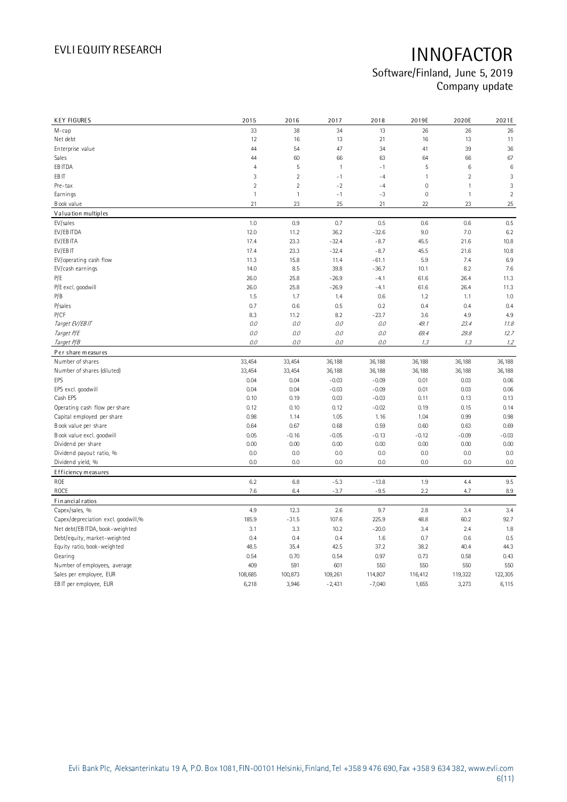| <b>KEY FIGURES</b>                  | 2015           | 2016           | 2017         | 2018     | 2019E        | 2020E          | 2021E          |
|-------------------------------------|----------------|----------------|--------------|----------|--------------|----------------|----------------|
| M-cap                               | 33             | 38             | 34           | 13       | 26           | 26             | 26             |
| Net debt                            | 12             | 16             | 13           | 21       | 16           | 13             | 11             |
| Enterprise value                    | 44             | 54             | 47           | 34       | 41           | 39             | 36             |
| Sales                               | 44             | 60             | 66           | 63       | 64           | 66             | 67             |
| EB ITDA                             | $\overline{4}$ | 5              | $\mathbf{1}$ | $-1$     | 5            | 6              | 6              |
| EB IT                               | 3              | $\overline{2}$ | $-1$         | $-4$     | $\mathbf{1}$ | $\overline{2}$ | 3              |
| Pre-tax                             | $\overline{2}$ | $\overline{2}$ | $-2$         | $-4$     | $\mathbf 0$  | $\mathbf{1}$   | 3              |
| Earnings                            | $\mathbf{1}$   | $\mathbf{1}$   | $-1$         | $-3$     | $\mathbf 0$  | $\mathbf{1}$   | $\overline{2}$ |
| Book value                          | 21             | 23             | 25           | 21       | 22           | 23             | 25             |
| Valuation multiples                 |                |                |              |          |              |                |                |
| EV/sales                            | 1.0            | 0.9            | 0.7          | 0.5      | 0.6          | 0.6            | 0.5            |
| EV/EB ITDA                          | 12.0           | 11.2           | 36.2         | $-32.6$  | 9.0          | 7.0            | 6.2            |
| EV/EB ITA                           | 17.4           | 23.3           | $-32.4$      | $-8.7$   | 45.5         | 21.6           | 10.8           |
| EV/EB IT                            | 17.4           | 23.3           | $-32.4$      | $-8.7$   | 45.5         | 21.6           | 10.8           |
| EV/operating cash flow              | 11.3           | 15.8           | 11.4         | $-61.1$  | 5.9          | 7.4            | 6.9            |
| EV/cash earnings                    | 14.0           | 8.5            | 39.8         | $-36.7$  | 10.1         | 8.2            | 7.6            |
| P/E                                 | 26.0           | 25.8           | $-26.9$      | $-4.1$   | 61.6         | 26.4           | 11.3           |
| P/E excl. goodwill                  | 26.0           | 25.8           | $-26.9$      | $-4.1$   | 61.6         | 26.4           | 11.3           |
| P/B                                 | 1.5            | 1.7            | 1.4          | 0.6      | 1.2          | 1.1            | 1.0            |
| P/sales                             | 0.7            | 0.6            | 0.5          | 0.2      | 0.4          | 0.4            | 0.4            |
| P/CF                                | 8.3            | 11.2           | 8.2          | $-23.7$  | 3.6          | 4.9            | 4.9            |
| Target EV/EBIT                      | 0.0            | 0.0            | 0.0          | 0.0      | 49.1         | 23.4           | 11.8           |
| Target P/E                          | 0.0            | 0.0            | 0.0          | 0.0      | 69.4         | 29.8           | 12.7           |
| Target P/B                          | 0.0            | 0.0            | 0.0          | 0.0      | 1.3          | 1.3            | 1.2            |
| Per share measures                  |                |                |              |          |              |                |                |
| Number of shares                    | 33,454         | 33,454         | 36,188       | 36,188   | 36,188       | 36,188         | 36,188         |
| Number of shares (diluted)          | 33,454         | 33,454         | 36,188       | 36,188   | 36,188       | 36,188         | 36,188         |
| EPS                                 | 0.04           | 0.04           | $-0.03$      | $-0.09$  | 0.01         | 0.03           | 0.06           |
| EPS excl. goodwill                  | 0.04           | 0.04           | $-0.03$      | $-0.09$  | 0.01         | 0.03           | 0.06           |
| Cash EPS                            | 0.10           | 0.19           | 0.03         | $-0.03$  | 0.11         | 0.13           | 0.13           |
| Operating cash flow per share       | 0.12           | 0.10           | 0.12         | $-0.02$  | 0.19         | 0.15           | 0.14           |
| Capital employed per share          | 0.98           | 1.14           | 1.05         | 1.16     | 1.04         | 0.99           | 0.98           |
| Book value per share                | 0.64           | 0.67           | 0.68         | 0.59     | 0.60         | 0.63           | 0.69           |
| Book value excl. goodwill           | 0.05           | $-0.16$        | $-0.05$      | $-0.13$  | $-0.12$      | $-0.09$        | $-0.03$        |
| Dividend per share                  | 0.00           | 0.00           | 0.00         | 0.00     | 0.00         | 0.00           | 0.00           |
| Dividend payout ratio, %            | 0.0            | 0.0            | 0.0          | 0.0      | 0.0          | 0.0            | 0.0            |
| Dividend yield, %                   | 0.0            | 0.0            | 0.0          | 0.0      | 0.0          | 0.0            | 0.0            |
| Efficiency measures                 |                |                |              |          |              |                |                |
| ROE                                 | 6.2            | 6.8            | $-5.3$       | $-13.8$  | 1.9          | 4.4            | 9.5            |
| ROCE                                | 7.6            | 6.4            | $-3.7$       | $-9.5$   | 2.2          | 4.7            | 8.9            |
| Fin ancial ratios                   |                |                |              |          |              |                |                |
| Capex/sales, %                      | 4.9            | 12.3           | 2.6          | 9.7      | 2.8          | 3.4            | 3.4            |
| Capex/depreciation excl. goodwill,% | 185.9          | $-31.5$        | 107.6        | 225.9    | 48.8         | 60.2           | 92.7           |
| Net debt/EB ITDA, book-weighted     | 3.1            | 3.3            | 10.2         | $-20.0$  | 3.4          | 2.4            | 1.8            |
| Debt/equity, market-weighted        | 0.4            | 0.4            | 0.4          | 1.6      | 0.7          | 0.6            | 0.5            |
| Equity ratio, book-weighted         | 48.5           | 35.4           | 42.5         | 37.2     | 38.2         | 40.4           | 44.3           |
| Gearing                             | 0.54           | 0.70           | 0.54         | 0.97     | 0.73         | 0.58           | 0.43           |
| Number of employees, average        | 409            | 591            | 601          | 550      | 550          | 550            | 550            |
| Sales per employee, EUR             | 108,685        | 100,873        | 109,261      | 114,807  | 116,412      | 119,322        | 122,305        |
| EB IT per employee, EUR             | 6,218          | 3,946          | $-2,431$     | $-7,040$ | 1,655        | 3,273          | 6,115          |
|                                     |                |                |              |          |              |                |                |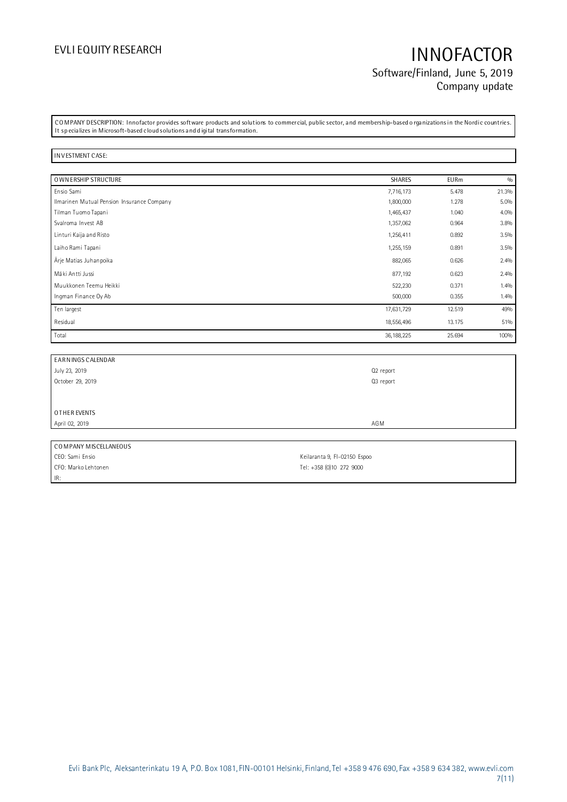## EVLI EQUITY RESEARCH **INNOFACTOR** Software/Finland, June 5, 2019 Company update

CO MPANY DESCRIPTION: Innofactor provides software products and solutions to commercial, public sector, and membership-based o rganizations in the Nordic countries. It sp ecializes in Microsoft-based cloud solutions and d igital transformation.

### IN V ESTMENT CASE:

IR:

| O WN ERSHIP STRUCTURE                      | <b>SHARES</b> | <b>EURm</b> | 0/0   |
|--------------------------------------------|---------------|-------------|-------|
| Ensio Sami                                 | 7,716,173     | 5.478       | 21.3% |
| Ilmarinen Mutual Pension Insurance Company | 1,800,000     | 1.278       | 5.0%  |
| Tilman Tuomo Tapani                        | 1,465,437     | 1.040       | 4.0%  |
| Svalroma Invest AB                         | 1,357,062     | 0.964       | 3.8%  |
| Linturi Kaija and Risto                    | 1,256,411     | 0.892       | 3.5%  |
| Laiho Rami Tapani                          | 1,255,159     | 0.891       | 3.5%  |
| Ärje Matias Juhanpoika                     | 882,065       | 0.626       | 2.4%  |
| Mäki Antti Jussi                           | 877,192       | 0.623       | 2.4%  |
| Muukkonen Teemu Heikki                     | 522,230       | 0.371       | 1.4%  |
| Ingman Finance Oy Ab                       | 500,000       | 0.355       | 1.4%  |
| Ten largest                                | 17,631,729    | 12.519      | 49%   |
| Residual                                   | 18,556,496    | 13.175      | 51%   |
| Total                                      | 36, 188, 225  | 25.694      | 100%  |

| EARN INGS CALENDAR    |                              |
|-----------------------|------------------------------|
| July 23, 2019         | Q2 report                    |
| October 29, 2019      | Q3 report                    |
|                       |                              |
|                       |                              |
| OTHER EVENTS          |                              |
| April 02, 2019        | AGM                          |
|                       |                              |
| COMPANY MISCELLANEOUS |                              |
| CEO: Sami Ensio       | Keilaranta 9, FI-02150 Espoo |
| CFO: Marko Lehtonen   | Tel: +358 (0)10 272 9000     |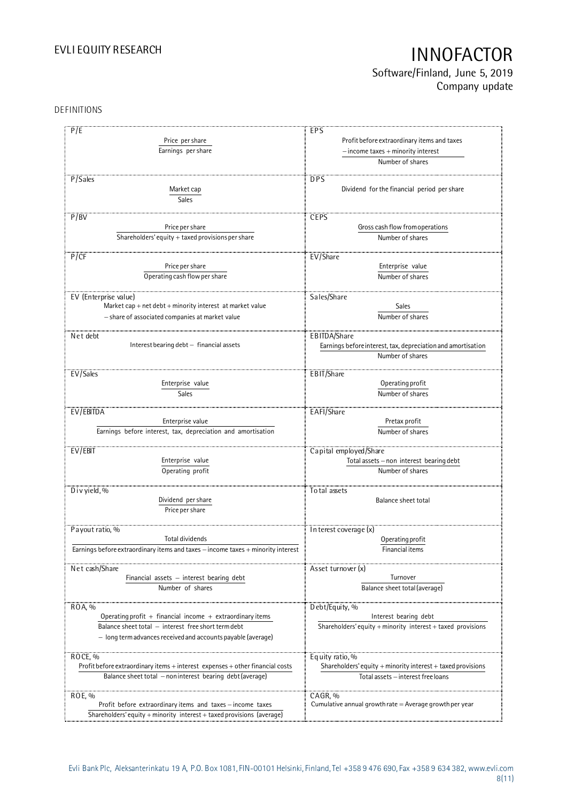Software/Finland, June 5, 2019 Company update

## DEFINITIONS

| P/E                                                                               | EPS                                                          |
|-----------------------------------------------------------------------------------|--------------------------------------------------------------|
| Price per share                                                                   | Profit before extraordinary items and taxes                  |
| Earnings per share                                                                | $-$ income taxes $+$ minority interest                       |
|                                                                                   |                                                              |
|                                                                                   | Number of shares                                             |
| P/Sales                                                                           | <b>DPS</b>                                                   |
|                                                                                   | Dividend for the financial period per share                  |
| Market cap                                                                        |                                                              |
| Sales                                                                             |                                                              |
| P/BV                                                                              |                                                              |
| Price per share                                                                   | <b>CEPS</b>                                                  |
|                                                                                   | Gross cash flow from operations                              |
| Shareholders' equity + taxed provisions per share                                 | Number of shares                                             |
|                                                                                   |                                                              |
| P/CF                                                                              | EV/Share                                                     |
| Price per share                                                                   | Enterprise value                                             |
| Operating cash flow per share                                                     | Number of shares                                             |
|                                                                                   |                                                              |
| EV (Enterprise value)                                                             | Sales/Share                                                  |
| Market cap + net debt + minority interest at market value                         | <b>Sales</b>                                                 |
| - share of associated companies at market value                                   | Number of shares                                             |
|                                                                                   |                                                              |
| Net debt                                                                          | EBITDA/Share                                                 |
| Interest bearing debt - financial assets                                          | Earnings before interest, tax, depreciation and amortisation |
|                                                                                   | Number of shares                                             |
|                                                                                   |                                                              |
| EV/Sales                                                                          | EBIT/Share                                                   |
| Enterprise value                                                                  | Operating profit                                             |
| Sales                                                                             | Number of shares                                             |
|                                                                                   |                                                              |
| EV/EBITDA                                                                         | EAFI/Share                                                   |
| Enterprise value                                                                  | Pretax profit                                                |
| Earnings before interest, tax, depreciation and amortisation                      | Number of shares                                             |
|                                                                                   |                                                              |
| EV/EBIT                                                                           | Capital employed/Share                                       |
| Enterprise value                                                                  | Total assets - non interest bearing debt                     |
| Operating profit                                                                  | Number of shares                                             |
|                                                                                   |                                                              |
| D i v yield, $%$                                                                  | To tal assets                                                |
| Dividend per share                                                                | <b>Balance sheet total</b>                                   |
| Price per share                                                                   |                                                              |
|                                                                                   |                                                              |
| Payout ratio, %                                                                   |                                                              |
| Total dividends                                                                   | In terest coverage (x)<br>Operating profit                   |
| Earnings before extraordinary items and taxes - income taxes + minority interest  |                                                              |
|                                                                                   | Financial items                                              |
| Net cash/Share                                                                    |                                                              |
|                                                                                   | Asset turnover (x)                                           |
| Financial assets $-$ interest bearing debt                                        | Turnover                                                     |
| Number of shares                                                                  | Balance sheet total (average)                                |
|                                                                                   |                                                              |
| ROA, %                                                                            | Debt/Equity, %                                               |
| Operating profit $+$ financial income $+$ extraordinary items                     | Interest bearing debt                                        |
| Balance sheet total - interest free short term debt                               | Shareholders' equity + minority interest + taxed provisions  |
| - long term advances received and accounts payable (average)                      |                                                              |
|                                                                                   |                                                              |
| ROCE, %                                                                           | Equity ratio, %                                              |
| Profit before extraordinary items $+$ interest expenses $+$ other financial costs | Shareholders' equity + minority interest + taxed provisions  |
| Balance sheet total - non interest bearing debt (average)                         | Total assets - interest free loans                           |
|                                                                                   |                                                              |
| ROE, %                                                                            | CAGR, %                                                      |
| Profit before extraordinary items and taxes - income taxes                        | Cumulative annual growth rate = Average growth per year      |
| Shareholders' equity + minority interest + taxed provisions (average)             |                                                              |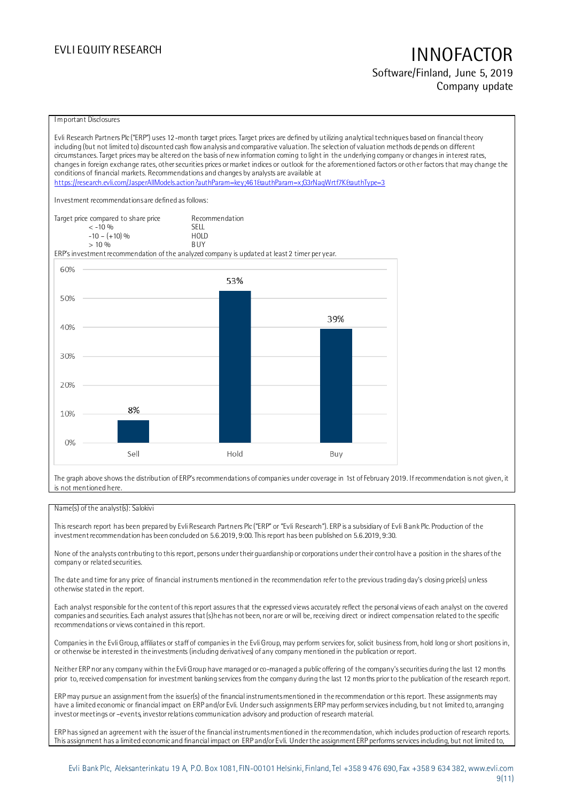Software/Finland, June 5, 2019 Company update

### I mportant Disclosures

Evli Research Partners Plc ("ERP") uses 12-month target prices. Target prices are defined by utilizing analytical techniques based on financial theory including (but not limited to) discounted cash flow analysis and comparative valuation. The selection of valuation methods depends on different circumstances. Target prices may be altered on the basis of new information coming to light in the underlying company or changes in interest rates, changes in foreign exchange rates, other securities prices or market indices or outlook for the aforementioned factors or other factors that may change the conditions of financial markets. Recommendations and changes by analysts are available at <https://research.evli.com/JasperAllModels.action?authParam=key;461&authParam=x;G3rNagWrtf7K&authType=3> Investment recommendations are defined as follows: Target price compared to share price Recommendation<br>  $\leq$  -10 %  $\langle 5, -10, 9 \rangle$  SELL<br> $-10 - (+10), 9 \rangle$  HOLD  $-10 - (+10) \%$  HOLD<br>> 10 % RIIY  $> 10 \frac{v}{h}$ ERP's investment recommendation of the analyzed company is updated at least 2 timer per year. 60% 53% 50% 39% 40% 30% 20% 8% 10%  $0%$ Sell Hold Buy

The graph above shows the distribution of ERP's recommendations of companies under coverage in 1st of February 2019. If recommendation is not given, it is not mentioned here.

### Name(s) of the analyst(s): Salokivi

This research report has been prepared by Evli Research Partners Plc ("ERP" or "Evli Research"). ERP is a subsidiary of Evli Bank Plc. Production of the investment recommendation has been concluded on 5.6.2019, 9:00. This report has been published on 5.6.2019, 9:30.

None of the analysts contributing to this report, persons under their guardianship or corporations under their control have a position in the shares of the company or related securities.

The date and time for any price of financial instruments mentioned in the recommendation refer to the previous trading day's closing price(s) unless otherwise stated in the report.

Each analyst responsible for the content of this report assures that the expressed views accurately reflect the personal views of each analyst on the covered companies and securities. Each analyst assures that (s)he has not been, nor are or will be, receiving direct or indirect compensation related to the specific recommendations or views contained in this report.

Companies in the Evli Group, affiliates or staff of companies in the Evli Group, may perform services for, solicit business from, hold long or short positions in, or otherwise be interested in the investments (including derivatives) of any company mentioned in the publication or report.

Neither ERP nor any company within the Evli Group have managed or co-managed a public offering of the company's securities during the last 12 months prior to, received compensation for investment banking services from the company during the last 12 months prior to the publication of the research report.

ERP may pursue an assignment from the issuer(s) of the financial instruments mentioned in the recommendation or this report. These assignments may have a limited economic or financial impact on ERP and/or Evli. Under such assignments ERP may perform services including, bu t not limited to, arranging investor meetings or –events, investor relations communication advisory and production of research material.

ERP has signed an agreement with the issuer of the financial instruments mentioned in the recommendation, which includes production of research reports. This assignment has a limited economic and financial impact on ERP and/or Evli. Under the assignment ERP performs services including, but not limited to,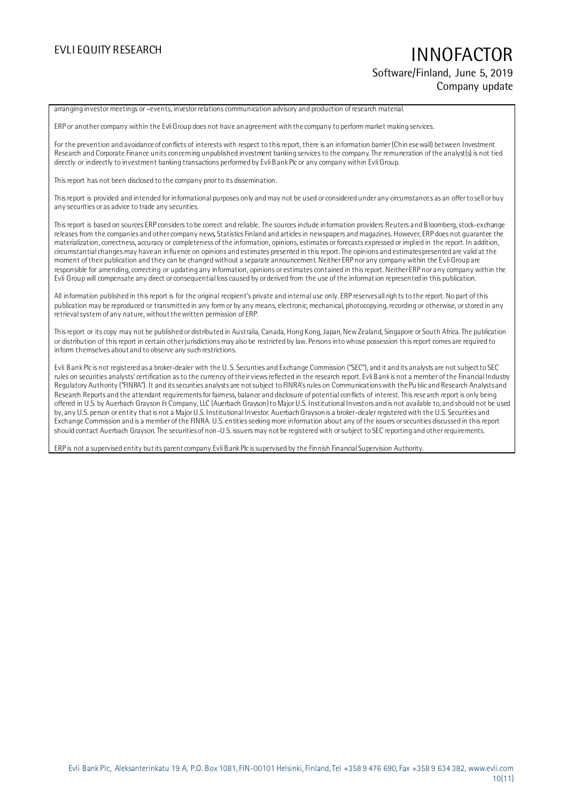EVLI EQUITY RESEARCH **INNOFACTOR** Software/Finland, June 5, 2019 Company update

arranging investor meetings or –events, investor relations communication advisory and production of research material.

ERP or another company within the Evli Group does not have an agreement with the company to perform market making services.

For the prevention and avoidance of conflicts of interests with respect to this report, there is an information barrier (Chin ese wall) between Investment Research and Corporate Finance units concerning unpublished investment banking services to the company. The remuneration of the analyst(s) is not tied directly or indirectly to investment banking transactions performed by Evli Bank Plc or any company within Evli Group.

This report has not been disclosed to the company prior to its dissemination.

This report is provided and intended for informational purposes only and may not be used or considered under any circumstance s as an offer to sell or buy any securities or as advice to trade any securities.

This report is based on sources ERP considers to be correct and reliable. The sources include information providers Reuters and Bloomberg, stock-exchange releases from the companies and other company news, Statistics Finland and articles in newspapers and magazines. However, ERP does not guarantee the materialization, correctness, accuracy or completeness of the information, opinions, estimates or forecasts expressed or implied in the report. In addition, circumstantial changes may have an influence on opinions and estimates presented in this report. The opinions and estimates presented are valid at the moment of their publication and they can be changed without a separate announcement. Neither ERP nor any company within the Evli Group are responsible for amending, correcting or updating any information, opinions or estimates contained in this report. Neither ERP nor any company within the Evli Group will compensate any direct or consequential loss caused by or derived from the use of the information represented in this publication.

All information published in this report is for the original recipient's private and internal use only. ERP reserves all righ ts to the report. No part of this publication may be reproduced or transmitted in any form or by any means, electronic, mechanical, photocopying, recording or otherwise, or stored in any retrieval system of any nature, without the written permission of ERP.

This report or its copy may not be published or distributed in Australia, Canada, Hong Kong, Japan, New Zealand, Singapore or South Africa. The publication or distribution of this report in certain other jurisdictions may also be restricted by law. Persons into whose possession th is report comes are required to inform themselves about and to observe any such restrictions.

Evli Bank Plc is not registered as a broker-dealer with the U. S. Securities and Exchange Commission ("SEC"), and it and its analysts are not subject to SEC rules on securities analysts' certification as to the currency of their views reflected in the research report. Evli Bank is not a member of the Financial Industry Regulatory Authority ("FINRA"). It and its securities analysts are not subject to FINRA's rules on Communications with the Pu blic and Research Analysts and Research Reports and the attendant requirements for fairness, balance and disclosure of potential conflicts of interest. This research report is only being offered in U.S. by Auerbach Grayson & Company, LLC (Auerbach Grayson) to Major U.S. Institutional Investors and is not available to, and should not be used by, any U.S. person or entity that is not a Major U.S. Institutional Investor. Auerbach Grayson is a broker-dealer registered with the U.S. Securities and Exchange Commission and is a member of the FINRA. U.S. entities seeking more information about any of the issuers or securities discussed in this report should contact Auerbach Grayson. The securities of non-U.S. issuers may not be registered with or subject to SEC reporting and other requirements.

ERP is not a supervised entity but its parent company Evli Bank Plc is supervised by the Finnish Financial Supervision Authority.